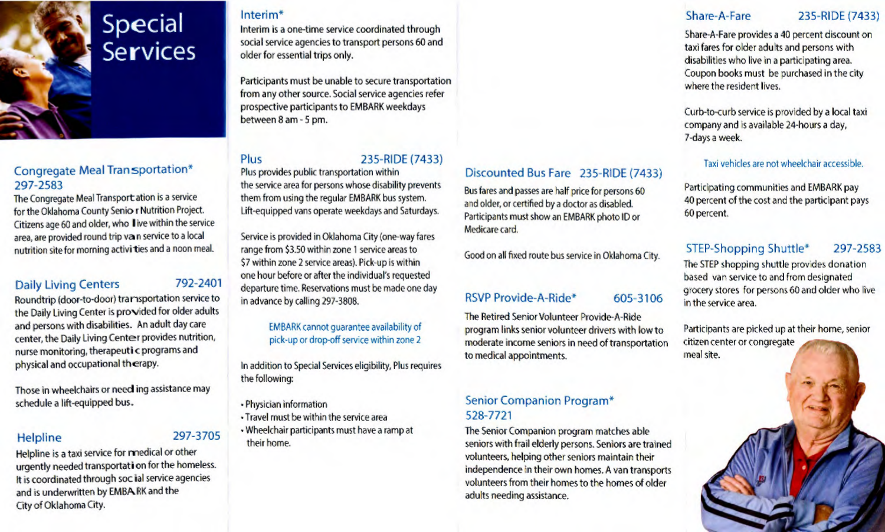

## Congregate Meal Transportation\* 297-2583

The Congregate Meal Transportation is a service for the Oklahoma County Senio r Nutrition Project. Citizens age 60 and older, who live within the service area, are provided round trip van service to a local nutrition site for morning activi ties and a noon meal.

#### Daily Living Centers 792-2401

Roundtrip (door-to-door) transportation service to the Daily Living Center is provided for older adults and persons with disabilities. An adult day care center, the Daily Living Center provides nutrition, nurse monitoring, therapeutic programs and physical and occupational therapy.

Those in wheelchairs or need ing assistance may schedule a lift-equipped bus.

## Helpline 297-3705

Helpline is a taxi service for medical or other urgently needed transportation for the homeless. It is coordinated through soc ial service agencies and is underwritten by EMBARK and the City of Oklahoma City.

#### Interim\*

Interim is a one-time service coordinated through social service agencies to transport persons 60 and older for essential trips only.

Participants must be unable to secure transportation from any other source. Social service agencies refer prospective participants to EMBARK weekdays between 8 am - 5 pm.

# Plus 235-RIDE (7433)

Plus provides public transportation within the service area for persons whose disability prevents them from using the regular EMBARK bus system. Lift-equipped vans operate weekdays and Saturdays.

Service is provided in Oklahoma City (one-way fares range from \$3.50 within zone 1 service areas to \$7 within zone 2 service areas). Pick-up is within one hour before or after the individual's requested departure time. Reservations must be made one day in advance by calling 297-3808.

#### EMBARK cannot guarantee availability of pick-up or drop-off service within zone 2

In addition to Special Services eligibility, Plus requires the following:

- Physician information
- Travel must be within the service area
- Wheelchair participants must have a ramp at their home.

# Discounted Bus Fare 235-RIDE (7433)

Bus fares and passes are half price for persons 60 and older, or certified by a doctor as disabled. Participants must show an EMBARK photo ID or Medicare card.

Good on all fixed route bus service in Oklahoma City.

#### RSVP Provide-A-Ride\* 605-3106

The Retired Senior Volunteer Provide-A-Ride program links senior volunteer drivers with low to moderate income seniors in need of transportation to medical appointments.

### Senior Companion Program\* 528-7721

The Senior Companion program matches able seniors with frail elderly persons. Seniors are trained volunteers, helping other seniors maintain their independence in their own homes. A van transports volunteers from their homes to the homes of older adults needing assistance.

#### Share-A-Fare 235-RIDE (7433)

Share-A-Fare provides a 40 percent discount on taxi fares for older adults and persons with disabilities who live in a participating area. Coupon books must be purchased in the city where the resident lives.

Curb-to-curb service is provided by a local taxi company and is available 24-hours a day, 7-days a week.

#### Taxi vehicles are not wheelchair accessible.

Participating communities and EMBARK pay 40 percent of the cost and the participant pays 60 percent.

## STEP-Shopping Shuttle\* 297-2583

The STEP shopping shuttle provides donation based van service to and from designated grocery stores for persons 60 and older who live in the service area.

Participants are picked up at their home, senior citizen center or congregate meal site.